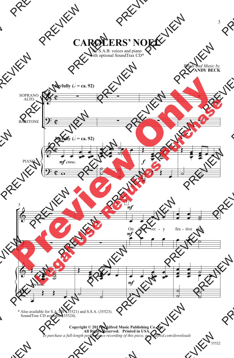## **CAROLERS' NOEL**

for S.A.B. voices and piano with optional SoundTrax CD\*



\* Also available for S.A.T.B. (35521) and S.S.A. (35523). SoundTrax CD available (35524).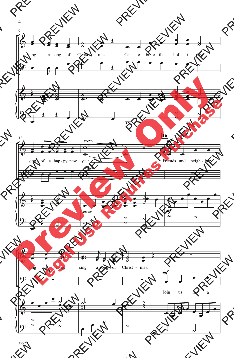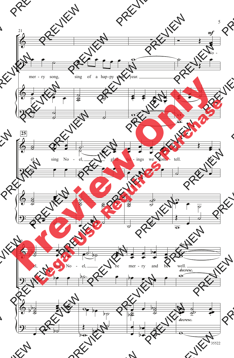

35522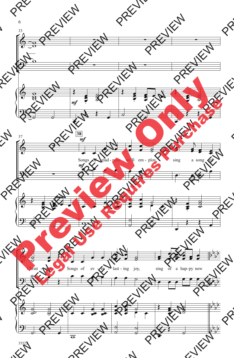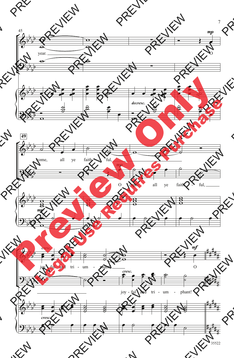

7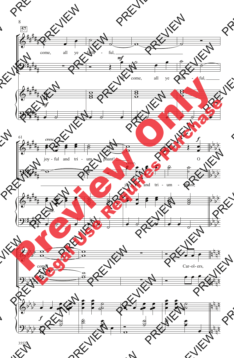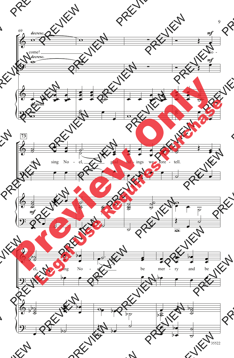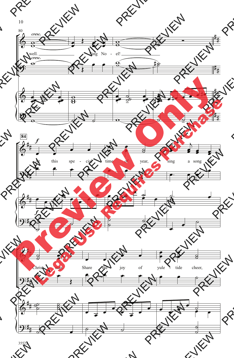